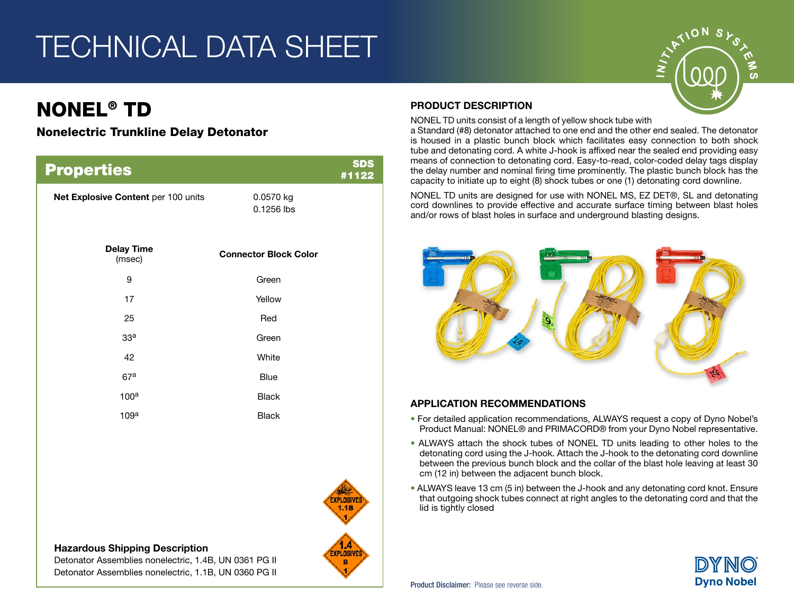# TECHNICAL DATA SHEET

# NONEL® TD

## Nonelectric Trunkline Delay Detonator

| <b>Properties</b>                   |                              | <b>SDS</b><br>#1122 |
|-------------------------------------|------------------------------|---------------------|
| Net Explosive Content per 100 units | 0.0570 kg<br>0.1256 lbs      |                     |
| <b>Delay Time</b><br>(msec)         | <b>Connector Block Color</b> |                     |
| 9                                   | Green                        |                     |
| 17                                  | Yellow                       |                     |
| 25                                  | Red                          |                     |
| 33 <sup>a</sup>                     | Green                        |                     |
| 42                                  | White                        |                     |
| 67 <sup>a</sup>                     | <b>Blue</b>                  |                     |
| 100 <sup>a</sup>                    | <b>Black</b>                 |                     |
| 109 <sup>a</sup>                    | <b>Black</b>                 |                     |



# Hazardous Shipping Description

Detonator Assemblies nonelectric, 1.4B, UN 0361 PG II Detonator Assemblies nonelectric, 1.1B, UN 0360 PG II

#### PRODUCT DESCRIPTION

NONEL TD units consist of a length of yellow shock tube with

a Standard (#8) detonator attached to one end and the other end sealed. The detonator is housed in a plastic bunch block which facilitates easy connection to both shock tube and detonating cord. A white J-hook is affixed near the sealed end providing easy means of connection to detonating cord. Easy-to-read, color-coded delay tags display the delay number and nominal firing time prominently. The plastic bunch block has the capacity to initiate up to eight (8) shock tubes or one (1) detonating cord downline.

NONEL TD units are designed for use with NONEL MS, EZ DET®, SL and detonating cord downlines to provide effective and accurate surface timing between blast holes and/or rows of blast holes in surface and underground blasting designs.



#### APPLICATION RECOMMENDATIONS

- For detailed application recommendations, ALWAYS request a copy of Dyno Nobel's Product Manual: NONEL® and PRIMACORD® from your Dyno Nobel representative.
- ALWAYS attach the shock tubes of NONEL TD units leading to other holes to the detonating cord using the J-hook. Attach the J-hook to the detonating cord downline between the previous bunch block and the collar of the blast hole leaving at least 30 cm (12 in) between the adjacent bunch block.
- ALWAYS leave 13 cm (5 in) between the J-hook and any detonating cord knot. Ensure that outgoing shock tubes connect at right angles to the detonating cord and that the lid is tightly closed